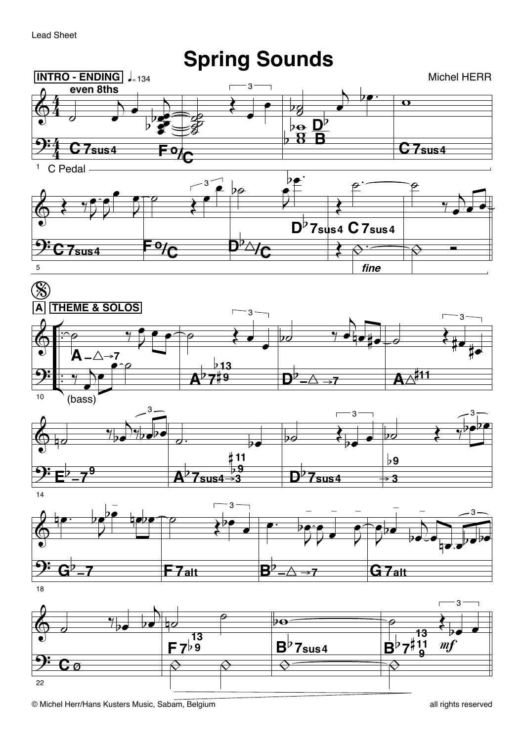